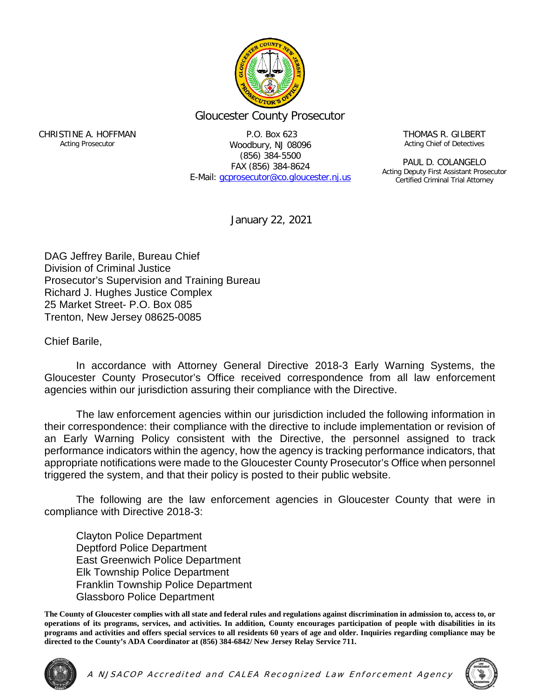

## Gloucester County Prosecutor

CHRISTINE A. HOFFMAN Acting Prosecutor

P.O. Box 623 Woodbury, NJ 08096 (856) 384-5500 FAX (856) 384-8624 E-Mail: [gcprosecutor@co.gloucester.nj.us](mailto:gcprosecutor@co.gloucester.nj.us) THOMAS R. GILBERT Acting Chief of Detectives

PAUL D. COLANGELO Acting Deputy First Assistant Prosecutor Certified Criminal Trial Attorney

January 22, 2021

DAG Jeffrey Barile, Bureau Chief Division of Criminal Justice Prosecutor's Supervision and Training Bureau Richard J. Hughes Justice Complex 25 Market Street- P.O. Box 085 Trenton, New Jersey 08625-0085

Chief Barile,

In accordance with Attorney General Directive 2018-3 Early Warning Systems, the Gloucester County Prosecutor's Office received correspondence from all law enforcement agencies within our jurisdiction assuring their compliance with the Directive.

The law enforcement agencies within our jurisdiction included the following information in their correspondence: their compliance with the directive to include implementation or revision of an Early Warning Policy consistent with the Directive, the personnel assigned to track performance indicators within the agency, how the agency is tracking performance indicators, that appropriate notifications were made to the Gloucester County Prosecutor's Office when personnel triggered the system, and that their policy is posted to their public website.

The following are the law enforcement agencies in Gloucester County that were in compliance with Directive 2018-3:

Clayton Police Department Deptford Police Department East Greenwich Police Department Elk Township Police Department Franklin Township Police Department Glassboro Police Department

**The County of Gloucester complies with all state and federal rules and regulations against discrimination in admission to, access to, or operations of its programs, services, and activities. In addition, County encourages participation of people with disabilities in its programs and activities and offers special services to all residents 60 years of age and older. Inquiries regarding compliance may be directed to the County's ADA Coordinator at (856) 384-6842/ New Jersey Relay Service 711.**